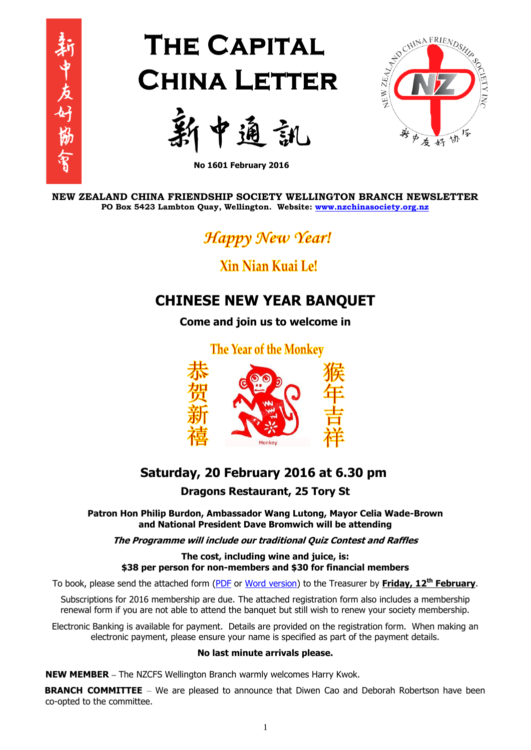

# **THE CAPITAL CHINA LETTER**





**No 1601 February 2016**

**NEW ZEALAND CHINA FRIENDSHIP SOCIETY WELLINGTON BRANCH NEWSLETTER PO Box 5423 Lambton Quay, Wellington. Website: [www.nzchinasociety.org.nz](http://www.nzchinasociety.org.nz/)**

Happy New Year!

## Xin Nian Kuai Le!

### **CHINESE NEW YEAR BANQUET**

**Come and join us to welcome in** 

**The Year of the Monkey** 



# **Saturday, 20 February 2016 at 6.30 pm**

**Dragons Restaurant, 25 Tory St**

**Patron Hon Philip Burdon, Ambassador Wang Lutong, Mayor Celia Wade-Brown and National President Dave Bromwich will be attending**

**The Programme will include our traditional Quiz Contest and Raffles**

**The cost, including wine and juice, is: \$38 per person for non-members and \$30 for financial members**

To book, please send the attached form [\(PDF](http://nzchinasociety.org.nz/wp-content/uploads/2016/01/Wellington-Branch-2016-Subscription-CNY-Banquet-Form.pdf) or [Word version\)](http://nzchinasociety.org.nz/wp-content/uploads/2016/01/NZCFS-Wellington-Branch-2016-Subscription-CNY-Banquet-Form.doc) to the Treasurer by **Friday, 12 th February**.

Subscriptions for 2016 membership are due. The attached registration form also includes a membership renewal form if you are not able to attend the banquet but still wish to renew your society membership.

Electronic Banking is available for payment. Details are provided on the registration form. When making an electronic payment, please ensure your name is specified as part of the payment details.

#### **No last minute arrivals please.**

**NEW MEMBER –** The NZCFS Wellington Branch warmly welcomes Harry Kwok.

**BRANCH COMMITTEE** – We are pleased to announce that Diwen Cao and Deborah Robertson have been co-opted to the committee.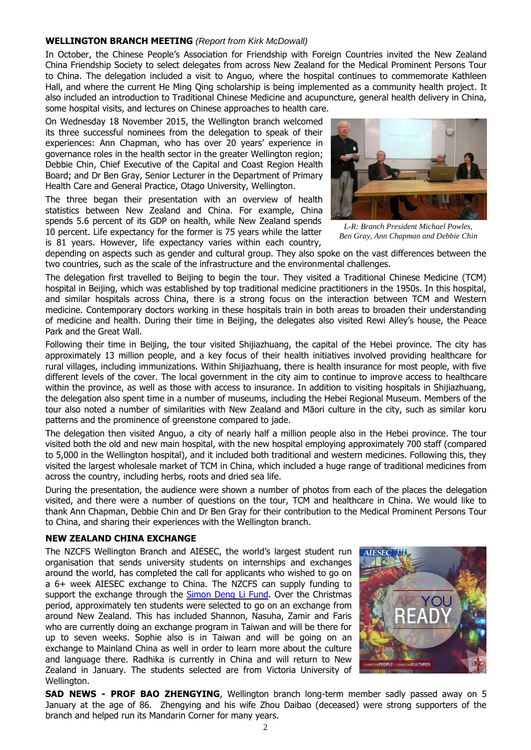#### **WELLINGTON BRANCH MEETING** *(Report from Kirk McDowall)*

In October, the Chinese People's Association for Friendship with Foreign Countries invited the New Zealand China Friendship Society to select delegates from across New Zealand for the Medical Prominent Persons Tour to China. The delegation included a visit to Anguo, where the hospital continues to commemorate Kathleen Hall, and where the current He Ming Qing scholarship is being implemented as a community health project. It also included an introduction to Traditional Chinese Medicine and acupuncture, general health delivery in China, some hospital visits, and lectures on Chinese approaches to health care.

On Wednesday 18 November 2015, the Wellington branch welcomed its three successful nominees from the delegation to speak of their experiences: Ann Chapman, who has over 20 years' experience in governance roles in the health sector in the greater Wellington region; Debbie Chin, Chief Executive of the Capital and Coast Region Health Board; and Dr Ben Gray, Senior Lecturer in the Department of Primary Health Care and General Practice, Otago University, Wellington.

The three began their presentation with an overview of health statistics between New Zealand and China. For example, China spends 5.6 percent of its GDP on health, while New Zealand spends 10 percent. Life expectancy for the former is 75 years while the latter is 81 years. However, life expectancy varies within each country,



*L-R: Branch President Michael Powles, Ben Gray, Ann Chapman and Debbie Chin*

depending on aspects such as gender and cultural group. They also spoke on the vast differences between the two countries, such as the scale of the infrastructure and the environmental challenges.

The delegation first travelled to Beijing to begin the tour. They visited a Traditional Chinese Medicine (TCM) hospital in Beijing, which was established by top traditional medicine practitioners in the 1950s. In this hospital, and similar hospitals across China, there is a strong focus on the interaction between TCM and Western medicine. Contemporary doctors working in these hospitals train in both areas to broaden their understanding of medicine and health. During their time in Beijing, the delegates also visited Rewi Alley's house, the Peace Park and the Great Wall.

Following their time in Beijing, the tour visited Shijiazhuang, the capital of the Hebei province. The city has approximately 13 million people, and a key focus of their health initiatives involved providing healthcare for rural villages, including immunizations. Within Shijiazhuang, there is health insurance for most people, with five different levels of the cover. The local government in the city aim to continue to improve access to healthcare within the province, as well as those with access to insurance. In addition to visiting hospitals in Shijiazhuang, the delegation also spent time in a number of museums, including the Hebei Regional Museum. Members of the tour also noted a number of similarities with New Zealand and Māori culture in the city, such as similar koru patterns and the prominence of greenstone compared to jade.

The delegation then visited Anguo, a city of nearly half a million people also in the Hebei province. The tour visited both the old and new main hospital, with the new hospital employing approximately 700 staff (compared to 5,000 in the Wellington hospital), and it included both traditional and western medicines. Following this, they visited the largest wholesale market of TCM in China, which included a huge range of traditional medicines from across the country, including herbs, roots and dried sea life.

During the presentation, the audience were shown a number of photos from each of the places the delegation visited, and there were a number of questions on the tour, TCM and healthcare in China. We would like to thank Ann Chapman, Debbie Chin and Dr Ben Gray for their contribution to the Medical Prominent Persons Tour to China, and sharing their experiences with the Wellington branch.

#### **NEW ZEALAND CHINA EXCHANGE**

The NZCFS Wellington Branch and AIESEC, the world's largest student run organisation that sends university students on internships and exchanges around the world, has completed the call for applicants who wished to go on a 6+ week AIESEC exchange to China. The NZCFS can supply funding to support the exchange through the **[Simon](http://nzchinasociety.org.nz/simon-deng-li-fund/) Deng Li Fund**. Over the Christmas period, approximately ten students were selected to go on an exchange from around New Zealand. This has included Shannon, Nasuha, Zamir and Faris who are currently doing an exchange program in Taiwan and will be there for up to seven weeks. Sophie also is in Taiwan and will be going on an exchange to Mainland China as well in order to learn more about the culture and language there. Radhika is currently in China and will return to New Zealand in January. The students selected are from Victoria University of Wellington.



**SAD NEWS - PROF BAO ZHENGYING**, Wellington branch long-term member sadly passed away on 5 January at the age of 86. Zhengying and his wife Zhou Daibao (deceased) were strong supporters of the branch and helped run its Mandarin Corner for many years.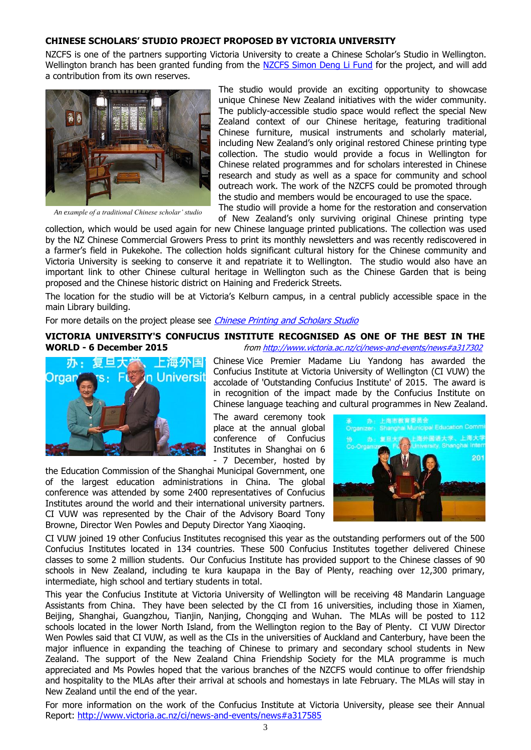#### **CHINESE SCHOLARS' STUDIO PROJECT PROPOSED BY VICTORIA UNIVERSITY**

NZCFS is one of the partners supporting Victoria University to create a Chinese Scholar's Studio in Wellington. Wellington branch has been granted funding from the [NZCFS Simon Deng Li Fund](http://nzchinasociety.org.nz/simon-deng-li-fund/) for the project, and will add a contribution from its own reserves.



*An example of a traditional Chinese scholar' studio*

The studio would provide an exciting opportunity to showcase unique Chinese New Zealand initiatives with the wider community. The publicly-accessible studio space would reflect the special New Zealand context of our Chinese heritage, featuring traditional Chinese furniture, musical instruments and scholarly material, including New Zealand's only original restored Chinese printing type collection. The studio would provide a focus in Wellington for Chinese related programmes and for scholars interested in Chinese research and study as well as a space for community and school outreach work. The work of the NZCFS could be promoted through the studio and members would be encouraged to use the space.

The studio will provide a home for the restoration and conservation of New Zealand's only surviving original Chinese printing type

collection, which would be used again for new Chinese language printed publications. The collection was used by the NZ Chinese Commercial Growers Press to print its monthly newsletters and was recently rediscovered in a farmer's field in Pukekohe. The collection holds significant cultural history for the Chinese community and Victoria University is seeking to conserve it and repatriate it to Wellington. The studio would also have an important link to other Chinese cultural heritage in Wellington such as the Chinese Garden that is being proposed and the Chinese historic district on Haining and Frederick Streets.

The location for the studio will be at Victoria's Kelburn campus, in a central publicly accessible space in the main Library building.

For more details on the project please see *[Chinese Printing and Scholars Studio](http://nzchinasociety.org.nz/wp-content/uploads/2016/01/Chinese-printing-and-scholars-studio.pdf)* 

#### **VICTORIA UNIVERSITY'S CONFUCIUS INSTITUTE RECOGNISED AS ONE OF THE BEST IN THE WORLD - 6 December 2015 fro[m http://www.victoria.ac.nz/ci/news-and-events/news#a317302](http://www.victoria.ac.nz/ci/news-and-events/news#a317302)**



Chinese Vice Premier Madame Liu Yandong has awarded the Confucius Institute at Victoria University of Wellington (CI VUW) the accolade of 'Outstanding Confucius Institute' of 2015. The award is in recognition of the impact made by the Confucius Institute on Chinese language teaching and cultural programmes in New Zealand.

The award ceremony took place at the annual global conference of Confucius Institutes in Shanghai on 6 - 7 December, hosted by

the Education Commission of the Shanghai Municipal Government, one of the largest education administrations in China. The global conference was attended by some 2400 representatives of Confucius Institutes around the world and their international university partners. CI VUW was represented by the Chair of the Advisory Board Tony Browne, Director Wen Powles and Deputy Director Yang Xiaoqing.



CI VUW joined 19 other Confucius Institutes recognised this year as the outstanding performers out of the 500 Confucius Institutes located in 134 countries. These 500 Confucius Institutes together delivered Chinese classes to some 2 million students. Our Confucius Institute has provided support to the Chinese classes of 90 schools in New Zealand, including te kura kaupapa in the Bay of Plenty, reaching over 12,300 primary, intermediate, high school and tertiary students in total.

This year the Confucius Institute at Victoria University of Wellington will be receiving 48 Mandarin Language Assistants from China. They have been selected by the CI from 16 universities, including those in Xiamen, Beijing, Shanghai, Guangzhou, Tianjin, Nanjing, Chongqing and Wuhan. The MLAs will be posted to 112 schools located in the lower North Island, from the Wellington region to the Bay of Plenty. CI VUW Director Wen Powles said that CI VUW, as well as the CIs in the universities of Auckland and Canterbury, have been the major influence in expanding the teaching of Chinese to primary and secondary school students in New Zealand. The support of the New Zealand China Friendship Society for the MLA programme is much appreciated and Ms Powles hoped that the various branches of the NZCFS would continue to offer friendship and hospitality to the MLAs after their arrival at schools and homestays in late February. The MLAs will stay in New Zealand until the end of the year.

For more information on the work of the Confucius Institute at Victoria University, please see their Annual Report: <http://www.victoria.ac.nz/ci/news-and-events/news#a317585>